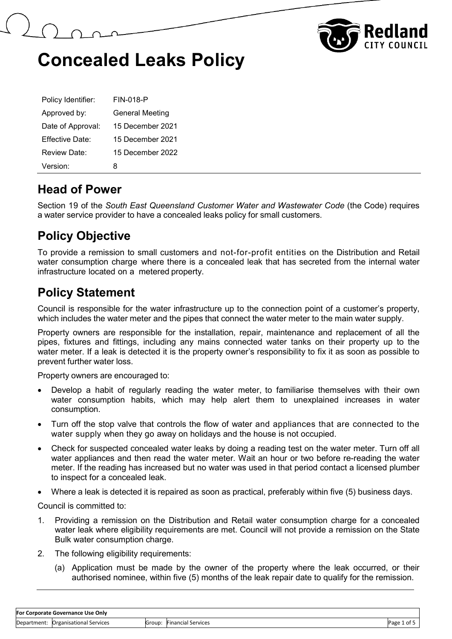



| Policy Identifier: | <b>FIN-018-P</b>       |
|--------------------|------------------------|
| Approved by:       | <b>General Meeting</b> |
| Date of Approval:  | 15 December 2021       |
| Fffective Date:    | 15 December 2021       |
| Review Date:       | 15 December 2022       |
| Version:           | x                      |

#### **Head of Power**

Section 19 of the *South East Queensland Customer Water and Wastewater Code* (the Code) requires a water service provider to have a concealed leaks policy for small customers.

#### **Policy Objective**

To provide a remission to small customers and not-for-profit entities on the Distribution and Retail water consumption charge where there is a concealed leak that has secreted from the internal water infrastructure located on a metered property.

#### **Policy Statement**

Council is responsible for the water infrastructure up to the connection point of a customer's property, which includes the water meter and the pipes that connect the water meter to the main water supply.

Property owners are responsible for the installation, repair, maintenance and replacement of all the pipes, fixtures and fittings, including any mains connected water tanks on their property up to the water meter. If a leak is detected it is the property owner's responsibility to fix it as soon as possible to prevent further water loss.

Property owners are encouraged to:

- Develop a habit of regularly reading the water meter, to familiarise themselves with their own water consumption habits, which may help alert them to unexplained increases in water consumption.
- Turn off the stop valve that controls the flow of water and appliances that are connected to the water supply when they go away on holidays and the house is not occupied.
- Check for suspected concealed water leaks by doing a reading test on the water meter. Turn off all water appliances and then read the water meter. Wait an hour or two before re-reading the water meter. If the reading has increased but no water was used in that period contact a licensed plumber to inspect for a concealed leak.
- Where a leak is detected it is repaired as soon as practical, preferably within five (5) business days.

Council is committed to:

- 1. Providing a remission on the Distribution and Retail water consumption charge for a concealed water leak where eligibility requirements are met. Council will not provide a remission on the State Bulk water consumption charge.
- 2. The following eligibility requirements:
	- (a) Application must be made by the owner of the property where the leak occurred, or their authorised nominee, within five (5) months of the leak repair date to qualify for the remission.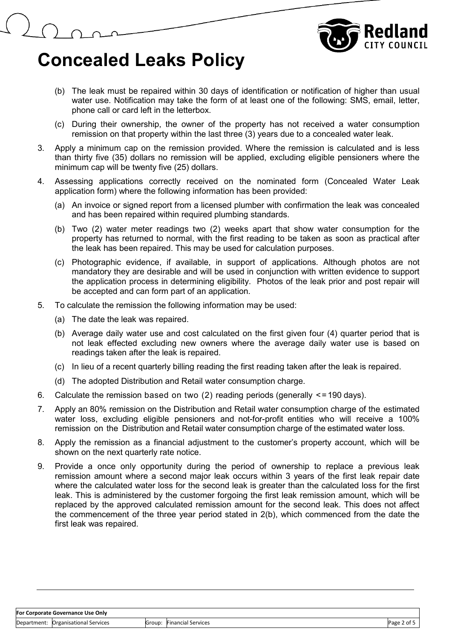

- (b) The leak must be repaired within 30 days of identification or notification of higher than usual water use. Notification may take the form of at least one of the following: SMS, email, letter, phone call or card left in the letterbox.
- (c) During their ownership, the owner of the property has not received a water consumption remission on that property within the last three (3) years due to a concealed water leak.
- 3. Apply a minimum cap on the remission provided. Where the remission is calculated and is less than thirty five (35) dollars no remission will be applied, excluding eligible pensioners where the minimum cap will be twenty five (25) dollars.
- 4. Assessing applications correctly received on the nominated form (Concealed Water Leak application form) where the following information has been provided:
	- (a) An invoice or signed report from a licensed plumber with confirmation the leak was concealed and has been repaired within required plumbing standards.
	- (b) Two (2) water meter readings two (2) weeks apart that show water consumption for the property has returned to normal, with the first reading to be taken as soon as practical after the leak has been repaired. This may be used for calculation purposes.
	- (c) Photographic evidence, if available, in support of applications. Although photos are not mandatory they are desirable and will be used in conjunction with written evidence to support the application process in determining eligibility. Photos of the leak prior and post repair will be accepted and can form part of an application.
- 5. To calculate the remission the following information may be used:
	- (a) The date the leak was repaired.
	- (b) Average daily water use and cost calculated on the first given four (4) quarter period that is not leak effected excluding new owners where the average daily water use is based on readings taken after the leak is repaired.
	- (c) In lieu of a recent quarterly billing reading the first reading taken after the leak is repaired.
	- (d) The adopted Distribution and Retail water consumption charge.
- 6. Calculate the remission based on two (2) reading periods (generally  $\leq$ =190 days).
- 7. Apply an 80% remission on the Distribution and Retail water consumption charge of the estimated water loss, excluding eligible pensioners and not-for-profit entities who will receive a 100% remission on the Distribution and Retail water consumption charge of the estimated water loss.
- 8. Apply the remission as a financial adjustment to the customer's property account, which will be shown on the next quarterly rate notice.
- 9. Provide a once only opportunity during the period of ownership to replace a previous leak remission amount where a second major leak occurs within 3 years of the first leak repair date where the calculated water loss for the second leak is greater than the calculated loss for the first leak. This is administered by the customer forgoing the first leak remission amount, which will be replaced by the approved calculated remission amount for the second leak. This does not affect the commencement of the three year period stated in 2(b), which commenced from the date the first leak was repaired.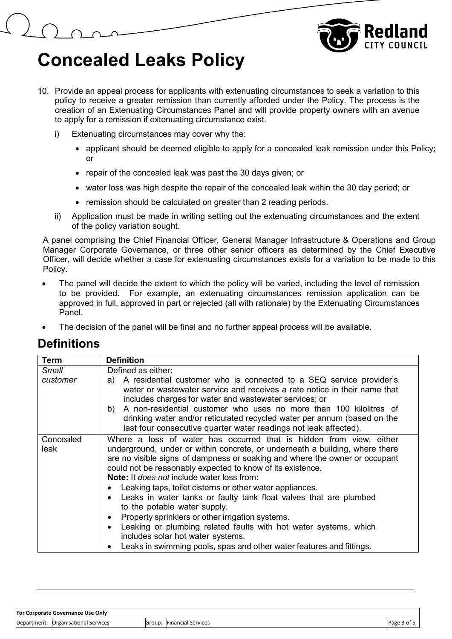

- 10. Provide an appeal process for applicants with extenuating circumstances to seek a variation to this policy to receive a greater remission than currently afforded under the Policy. The process is the creation of an Extenuating Circumstances Panel and will provide property owners with an avenue to apply for a remission if extenuating circumstance exist.
	- i) Extenuating circumstances may cover why the:
		- applicant should be deemed eligible to apply for a concealed leak remission under this Policy; or
		- repair of the concealed leak was past the 30 days given; or
		- water loss was high despite the repair of the concealed leak within the 30 day period; or
		- remission should be calculated on greater than 2 reading periods.
	- ii) Application must be made in writing setting out the extenuating circumstances and the extent of the policy variation sought.

A panel comprising the Chief Financial Officer, General Manager Infrastructure & Operations and Group Manager Corporate Governance, or three other senior officers as determined by the Chief Executive Officer, will decide whether a case for extenuating circumstances exists for a variation to be made to this Policy.

- The panel will decide the extent to which the policy will be varied, including the level of remission to be provided. For example, an extenuating circumstances remission application can be approved in full, approved in part or rejected (all with rationale) by the Extenuating Circumstances Panel.
- The decision of the panel will be final and no further appeal process will be available.

#### **Definitions**

| Term              | <b>Definition</b>                                                                                                                                                                                                                                                                                                                                                                                                                                                                                                                                                                                                                                                                                                                                                        |  |
|-------------------|--------------------------------------------------------------------------------------------------------------------------------------------------------------------------------------------------------------------------------------------------------------------------------------------------------------------------------------------------------------------------------------------------------------------------------------------------------------------------------------------------------------------------------------------------------------------------------------------------------------------------------------------------------------------------------------------------------------------------------------------------------------------------|--|
| Small             | Defined as either:                                                                                                                                                                                                                                                                                                                                                                                                                                                                                                                                                                                                                                                                                                                                                       |  |
| customer          | A residential customer who is connected to a SEQ service provider's<br>a)<br>water or wastewater service and receives a rate notice in their name that<br>includes charges for water and wastewater services; or<br>b) A non-residential customer who uses no more than 100 kilolitres of<br>drinking water and/or reticulated recycled water per annum (based on the<br>last four consecutive quarter water readings not leak affected).                                                                                                                                                                                                                                                                                                                                |  |
| Concealed<br>leak | Where a loss of water has occurred that is hidden from view, either<br>underground, under or within concrete, or underneath a building, where there<br>are no visible signs of dampness or soaking and where the owner or occupant<br>could not be reasonably expected to know of its existence.<br><b>Note:</b> It does not include water loss from:<br>Leaking taps, toilet cisterns or other water appliances.<br>Leaks in water tanks or faulty tank float valves that are plumbed<br>to the potable water supply.<br>Property sprinklers or other irrigation systems.<br>$\bullet$<br>Leaking or plumbing related faults with hot water systems, which<br>includes solar hot water systems.<br>Leaks in swimming pools, spas and other water features and fittings. |  |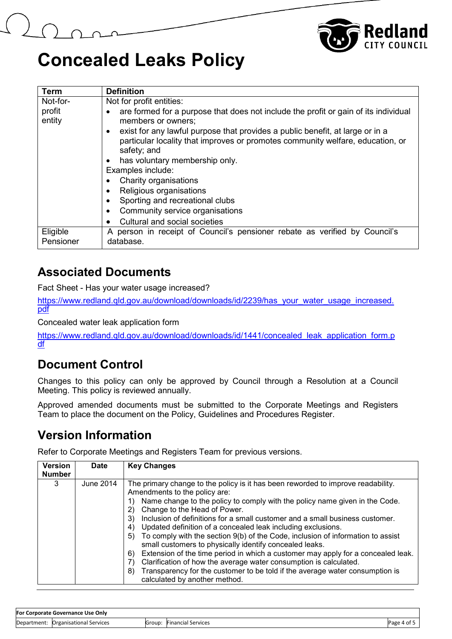

| <b>Term</b>           | <b>Definition</b>                                                                                                                                                                           |  |  |
|-----------------------|---------------------------------------------------------------------------------------------------------------------------------------------------------------------------------------------|--|--|
| Not-for-              | Not for profit entities:                                                                                                                                                                    |  |  |
| profit<br>entity      | are formed for a purpose that does not include the profit or gain of its individual<br>members or owners;                                                                                   |  |  |
|                       | exist for any lawful purpose that provides a public benefit, at large or in a<br>$\bullet$<br>particular locality that improves or promotes community welfare, education, or<br>safety; and |  |  |
|                       | has voluntary membership only.<br>$\bullet$                                                                                                                                                 |  |  |
|                       | Examples include:                                                                                                                                                                           |  |  |
|                       | Charity organisations                                                                                                                                                                       |  |  |
|                       | Religious organisations                                                                                                                                                                     |  |  |
|                       | Sporting and recreational clubs                                                                                                                                                             |  |  |
|                       | Community service organisations<br>$\bullet$                                                                                                                                                |  |  |
|                       | Cultural and social societies<br>$\bullet$                                                                                                                                                  |  |  |
| Eligible<br>Pensioner | A person in receipt of Council's pensioner rebate as verified by Council's<br>database.                                                                                                     |  |  |

#### **Associated Documents**

Fact Sheet - Has your water usage increased?

[https://www.redland.qld.gov.au/download/downloads/id/2239/has\\_your\\_water\\_usage\\_increased.](https://www.redland.qld.gov.au/download/downloads/id/2239/has_your_water_usage_increased.pdf) [pdf](https://www.redland.qld.gov.au/download/downloads/id/2239/has_your_water_usage_increased.pdf)

Concealed water leak application form

[https://www.redland.qld.gov.au/download/downloads/id/1441/concealed\\_leak\\_application\\_form.p](https://www.redland.qld.gov.au/download/downloads/id/1441/concealed_leak_application_form.pdf) [df](https://www.redland.qld.gov.au/download/downloads/id/1441/concealed_leak_application_form.pdf)

#### **Document Control**

Changes to this policy can only be approved by Council through a Resolution at a Council Meeting. This policy is reviewed annually.

Approved amended documents must be submitted to the Corporate Meetings and Registers Team to place the document on the Policy, Guidelines and Procedures Register.

#### **Version Information**

Refer to Corporate Meetings and Registers Team for previous versions.

| <b>Version</b><br><b>Number</b> | <b>Date</b> | <b>Key Changes</b>                                                                                                                                                                                                                                                                                                                                                                                                                                                                                                                                                                                                                                                                                                                                                                                                                                           |
|---------------------------------|-------------|--------------------------------------------------------------------------------------------------------------------------------------------------------------------------------------------------------------------------------------------------------------------------------------------------------------------------------------------------------------------------------------------------------------------------------------------------------------------------------------------------------------------------------------------------------------------------------------------------------------------------------------------------------------------------------------------------------------------------------------------------------------------------------------------------------------------------------------------------------------|
| 3                               | June 2014   | The primary change to the policy is it has been reworded to improve readability.<br>Amendments to the policy are:<br>Name change to the policy to comply with the policy name given in the Code.<br>Change to the Head of Power.<br>2)<br>Inclusion of definitions for a small customer and a small business customer.<br>3)<br>Updated definition of a concealed leak including exclusions.<br>4)<br>To comply with the section 9(b) of the Code, inclusion of information to assist<br>5)<br>small customers to physically identify concealed leaks.<br>Extension of the time period in which a customer may apply for a concealed leak.<br>6)<br>Clarification of how the average water consumption is calculated.<br>$\mathsf{Z}$<br>Transparency for the customer to be told if the average water consumption is<br>8)<br>calculated by another method. |